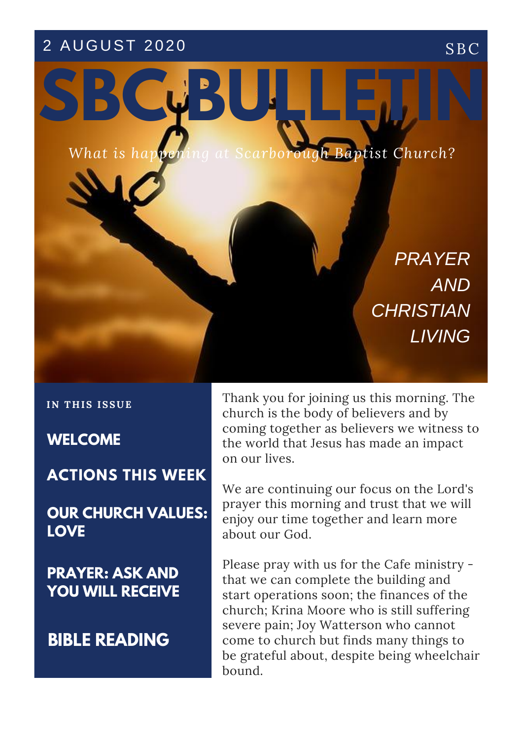# 2 AUGUST 2020 SBC



*PRAYER AND CHRISTIAN LIVING*

**IN T H IS ISSUE**

**WELCOME**

**MORNING ACTIONS THIS WEEK**

**OUR CHURCH VALUES: LOVE**

**PRAYER: ASK AND YOU WILL RECEIVE**

**BIBLE READING**

Thank you for joining us this morning. The church is the body of believers and by coming together as believers we witness to the world that Jesus has made an impact on our lives.

We are continuing our focus on the Lord's prayer this morning and trust that we will enjoy our time together and learn more about our God.

Please pray with us for the Cafe ministry that we can complete the building and start operations soon; the finances of the church; Krina Moore who is still suffering severe pain; Joy Watterson who cannot come to church but finds many things to be grateful about, despite being wheelchair bound.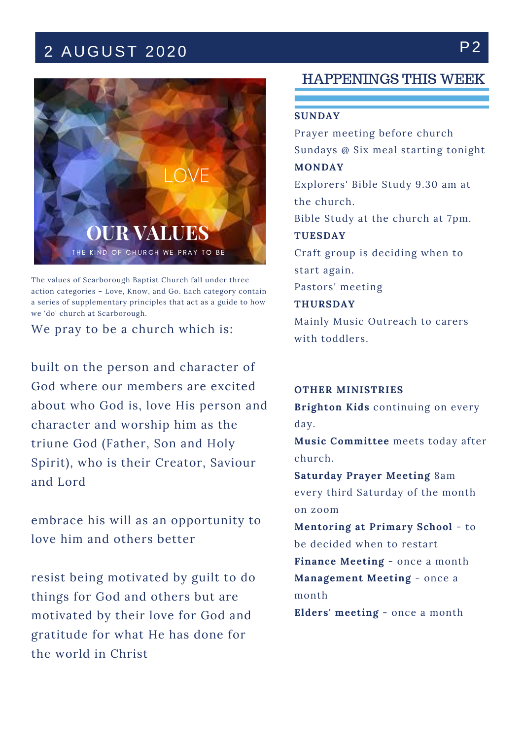# 2 AUGUST 2020 P2



The values of Scarborough Baptist Church fall under three action categories – Love, Know, and Go. Each category contain a series of supplementary principles that act as a guide to how we 'do' church at Scarborough.

We pray to be a church which is:

built on the person and character of God where our members are excited about who God is, love His person and character and worship him as the triune God (Father, Son and Holy Spirit), who is their Creator, Saviour and Lord

embrace his will as an opportunity to love him and others better

resist being motivated by guilt to do things for God and others but are motivated by their love for God and gratitude for what He has done for the world in Christ

### HAPPENINGS THIS WEEK

#### **SUNDAY**

Prayer meeting before church Sundays @ Six meal starting tonight **MONDAY**

Explorers' Bible Study 9.30 am at the church.

Bible Study at the church at 7pm.

**TUESDAY** Craft group is deciding when to start again.

Pastors' meeting

**THURSDAY**

Mainly Music Outreach to carers with toddlers.

### **OTHER MINISTRIES**

**Brighton Kids** continuing on every day.

**Music Committee** meets today after church.

**Saturday Prayer Meeting** 8am every third Saturday of the month on zoom

**Mentoring at Primary School** - to be decided when to restart **Finance Meeting** - once a month **Management Meeting** - once a month

**Elders' meeting** - once a month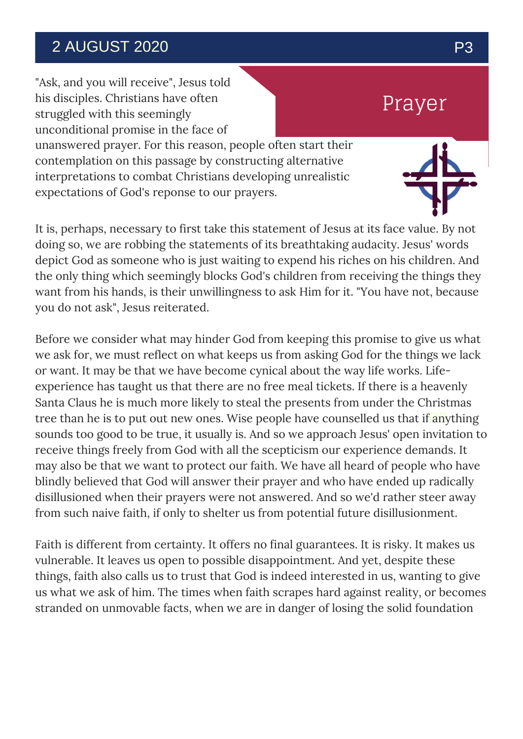## 2 AUGUST 2020 P3

"Ask, and you will receive", Jesus told his disciples. Christians have often struggled with this seemingly unconditional promise in the face of unanswered prayer. For this reason, people often start their contemplation on this passage by constructing alternative interpretations to combat Christians developing unrealistic expectations of God's reponse to our prayers.

It is, perhaps, necessary to first take this statement of Jesus at its face value. By not doing so, we are robbing the statements of its breathtaking audacity. Jesus' words depict God as someone who is just waiting to expend his riches on his children. And the only thing which seemingly blocks God's children from receiving the things they want from his hands, is their unwillingness to ask Him for it. "You have not, because you do not ask", Jesus reiterated.

tree than he is to put out new ones. Wise people have counselled us that if anything Before we consider what may hinder God from keeping this promise to give us what we ask for, we must reflect on what keeps us from asking God for the things we lack or want. It may be that we have become cynical about the way life works. Lifeexperience has taught us that there are no free meal tickets. If there is a heavenly Santa Claus he is much more likely to steal the presents from under the Christmas sounds too good to be true, it usually is. And so we approach Jesus' open invitation to receive things freely from God with all the scepticism our experience demands. It may also be that we want to protect our faith. We have all heard of people who have blindly believed that God will answer their prayer and who have ended up radically disillusioned when their prayers were not answered. And so we'd rather steer away from such naive faith, if only to shelter us from potential future disillusionment.

Faith is different from certainty. It offers no final guarantees. It is risky. It makes us vulnerable. It leaves us open to possible disappointment. And yet, despite these things, faith also calls us to trust that God is indeed interested in us, wanting to give us what we ask of him. The times when faith scrapes hard against reality, or becomes stranded on unmovable facts, when we are in danger of losing the solid foundation

Prayer